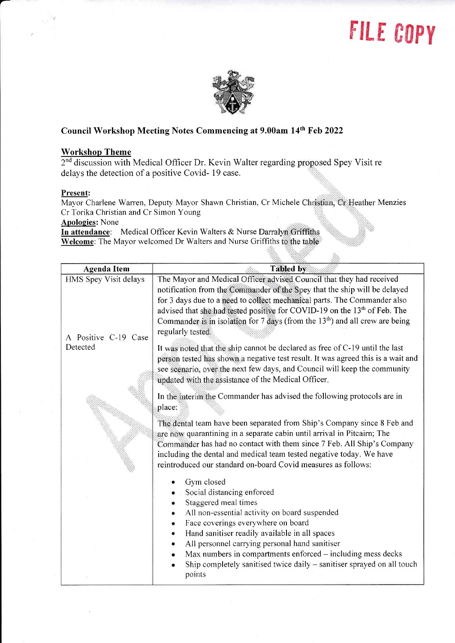## FILE COPY

Ñ.



## Council Workshop Meeting Notes Commencing at 9.00am l4th Feb 2022

## Workshop Theme

2<sup>nd</sup> discussion with Medical Officer Dr. Kevin Walter regarding proposed Spey Visit re delays the detection of a positive Covid- 19 case.

## Present:

a-

 $\mathcal{L}$ 

Mayor Charlene Warren, Deputy Mayor Shawn Christian, Cr Michele Christian, Cr Heather Menzies Cr Torika Christian and Cr Simon Young

Apologies: None

In attendance: Medical Officer Kevin Walters & Nurse Darralyn Griffiths Welcome: The Mayor welcomed Dr Walters and Nurse Griffiths to the table

| <b>Agenda Item</b>    | <b>Tabled</b> by                                                                                                                                                 |
|-----------------------|------------------------------------------------------------------------------------------------------------------------------------------------------------------|
| HMS Spey Visit delays | The Mayor and Medical Officer advised Council that they had received<br>notification from the Commander of the Spey that the ship will be delayed                |
|                       | for 3 days due to a need to collect mechanical parts. The Commander also                                                                                         |
|                       | advised that she had tested positive for COVID-19 on the 13 <sup>th</sup> of Feb. The                                                                            |
|                       | Commander is in isolation for 7 days (from the $13th$ ) and all crew are being<br>regularly tested.                                                              |
| A Positive C-19 Case  |                                                                                                                                                                  |
| Detected              | It was noted that the ship cannot be declared as free of C-19 until the last<br>person tested has shown a negative test result. It was agreed this is a wait and |
|                       | see scenario, over the next few days, and Council will keep the community                                                                                        |
|                       | updated with the assistance of the Medical Officer.                                                                                                              |
|                       | In the interim the Commander has advised the following protocols are in                                                                                          |
|                       | place:                                                                                                                                                           |
|                       | The dental team have been separated from Ship's Company since 8 Feb and                                                                                          |
|                       | are now quarantining in a separate cabin until arrival in Pitcairn; The<br>Commander has had no contact with them since 7 Feb. All Ship's Company                |
|                       | including the dental and medical team tested negative today. We have                                                                                             |
|                       | reintroduced our standard on-board Covid measures as follows:                                                                                                    |
|                       | Gym closed                                                                                                                                                       |
|                       | Social distancing enforced                                                                                                                                       |
|                       | Staggered meal times<br>All non-essential activity on board suspended<br>٠                                                                                       |
|                       | Face coverings everywhere on board                                                                                                                               |
|                       | Hand sanitiser readily available in all spaces<br>$\bullet$                                                                                                      |
|                       | All personnel carrying personal hand sanitiser                                                                                                                   |
|                       | Max numbers in compartments enforced - including mess decks                                                                                                      |
|                       | Ship completely sanitised twice daily - sanitiser sprayed on all touch                                                                                           |
|                       | points                                                                                                                                                           |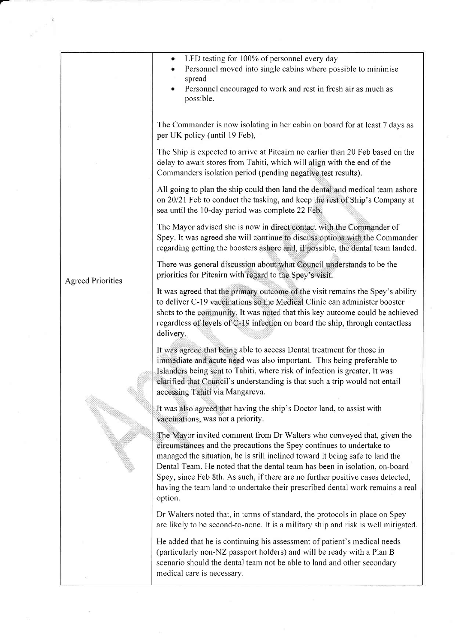|                          | LFD testing for 100% of personnel every day<br>٠<br>Personnel moved into single cabins where possible to minimise<br>spread<br>Personnel encouraged to work and rest in fresh air as much as<br>possible.                                                                                                                                                                                                                                                                                  |
|--------------------------|--------------------------------------------------------------------------------------------------------------------------------------------------------------------------------------------------------------------------------------------------------------------------------------------------------------------------------------------------------------------------------------------------------------------------------------------------------------------------------------------|
|                          | The Commander is now isolating in her cabin on board for at least 7 days as<br>per UK policy (until 19 Feb),                                                                                                                                                                                                                                                                                                                                                                               |
|                          | The Ship is expected to arrive at Pitcairn no earlier than 20 Feb based on the<br>delay to await stores from Tahiti, which will align with the end of the<br>Commanders isolation period (pending negative test results).                                                                                                                                                                                                                                                                  |
|                          | All going to plan the ship could then land the dental and medical team ashore<br>on 20/21 Feb to conduct the tasking, and keep the rest of Ship's Company at<br>sea until the 10-day period was complete 22 Feb.                                                                                                                                                                                                                                                                           |
|                          | The Mayor advised she is now in direct contact with the Commander of<br>Spey. It was agreed she will continue to discuss options with the Commander<br>regarding getting the boosters ashore and, if possible, the dental team landed.                                                                                                                                                                                                                                                     |
| <b>Agreed Priorities</b> | There was general discussion about what Council understands to be the<br>priorities for Pitcairn with regard to the Spey's visit.                                                                                                                                                                                                                                                                                                                                                          |
|                          | It was agreed that the primary outcome of the visit remains the Spey's ability<br>to deliver C-19 vaccinations so the Medical Clinic can administer booster<br>shots to the community. It was noted that this key outcome could be achieved<br>regardless of levels of C-19 infection on board the ship, through contactless<br>delivery.                                                                                                                                                  |
|                          | It was agreed that being able to access Dental treatment for those in<br>immediate and acute need was also important. This being preferable to<br>Islanders being sent to Tahiti, where risk of infection is greater. It was<br>clarified that Council's understanding is that such a trip would not entail<br>accessing Tahiti via Mangareva.                                                                                                                                             |
|                          | It was also agreed that having the ship's Doctor land, to assist with<br>vaccinations, was not a priority.                                                                                                                                                                                                                                                                                                                                                                                 |
|                          | The Mayor invited comment from Dr Walters who conveyed that, given the<br>circumstances and the precautions the Spey continues to undertake to<br>managed the situation, he is still inclined toward it being safe to land the<br>Dental Team. He noted that the dental team has been in isolation, on-board<br>Spey, since Feb 8th. As such, if there are no further positive cases detected,<br>having the team land to undertake their prescribed dental work remains a real<br>option. |
|                          | Dr Walters noted that, in terms of standard, the protocols in place on Spey<br>are likely to be second-to-none. It is a military ship and risk is well mitigated.                                                                                                                                                                                                                                                                                                                          |
|                          | He added that he is continuing his assessment of patient's medical needs<br>(particularly non-NZ passport holders) and will be ready with a Plan B<br>scenario should the dental team not be able to land and other secondary<br>medical care is necessary.                                                                                                                                                                                                                                |

 $\tilde{a}$ 

I

 $\sim$